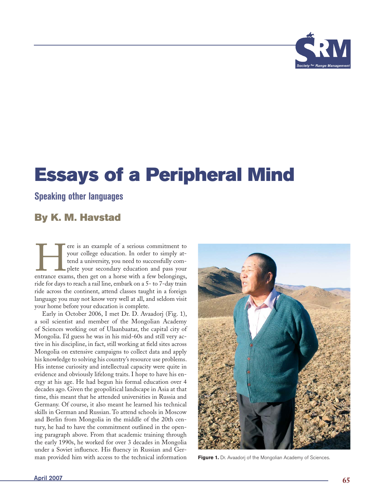

## **Essays of a Peripheral Mind**

## **Speaking other languages**

## **By K. M. Havstad**

Fore is an example of a serious commitment to your college education. In order to simply attend a university, you need to successfully complete your secondary education and pass your entrance exams, then get on a horse wit your college education. In order to simply attend a university, you need to successfully complete your secondary education and pass your ride for days to reach a rail line, embark on a 5- to 7-day train ride across the continent, attend classes taught in a foreign language you may not know very well at all, and seldom visit your home before your education is complete.

Early in October 2006, I met Dr. D. Avaadorj (Fig. 1), a soil scientist and member of the Mongolian Academy of Sciences working out of Ulaanbaatar, the capital city of Mongolia. I'd guess he was in his mid-60s and still very active in his discipline, in fact, still working at field sites across Mongolia on extensive campaigns to collect data and apply his knowledge to solving his country's resource use problems. His intense curiosity and intellectual capacity were quite in evidence and obviously lifelong traits. I hope to have his energy at his age. He had begun his formal education over 4 decades ago. Given the geopolitical landscape in Asia at that time, this meant that he attended universities in Russia and Germany. Of course, it also meant he learned his technical skills in German and Russian. To attend schools in Moscow and Berlin from Mongolia in the middle of the 20th century, he had to have the commitment outlined in the opening paragraph above. From that academic training through the early 1990s, he worked for over 3 decades in Mongolia under a Soviet influence. His fluency in Russian and German provided him with access to the technical information



Figure 1. Dr. Avaadorj of the Mongolian Academy of Sciences.